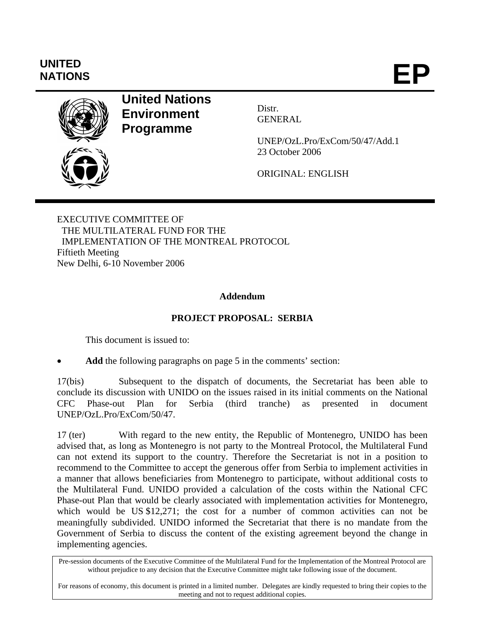# **UNITED**

NATIONS **EP** 



**United Nations Environment Programme** 

Distr. GENERAL

UNEP/OzL.Pro/ExCom/50/47/Add.1 23 October 2006

ORIGINAL: ENGLISH

EXECUTIVE COMMITTEE OF THE MULTILATERAL FUND FOR THE IMPLEMENTATION OF THE MONTREAL PROTOCOL Fiftieth Meeting New Delhi, 6-10 November 2006

#### **Addendum**

# **PROJECT PROPOSAL: SERBIA**

This document is issued to:

Add the following paragraphs on page 5 in the comments' section:

17(bis) Subsequent to the dispatch of documents, the Secretariat has been able to conclude its discussion with UNIDO on the issues raised in its initial comments on the National CFC Phase-out Plan for Serbia (third tranche) as presented in document UNEP/OzL.Pro/ExCom/50/47.

17 (ter) With regard to the new entity, the Republic of Montenegro, UNIDO has been advised that, as long as Montenegro is not party to the Montreal Protocol, the Multilateral Fund can not extend its support to the country. Therefore the Secretariat is not in a position to recommend to the Committee to accept the generous offer from Serbia to implement activities in a manner that allows beneficiaries from Montenegro to participate, without additional costs to the Multilateral Fund. UNIDO provided a calculation of the costs within the National CFC Phase-out Plan that would be clearly associated with implementation activities for Montenegro, which would be US \$12,271; the cost for a number of common activities can not be meaningfully subdivided. UNIDO informed the Secretariat that there is no mandate from the Government of Serbia to discuss the content of the existing agreement beyond the change in implementing agencies.

For reasons of economy, this document is printed in a limited number. Delegates are kindly requested to bring their copies to the meeting and not to request additional copies.

Pre-session documents of the Executive Committee of the Multilateral Fund for the Implementation of the Montreal Protocol are without prejudice to any decision that the Executive Committee might take following issue of the document.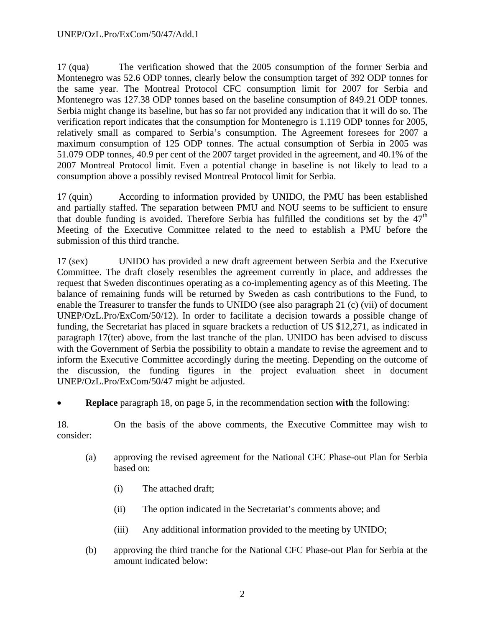#### UNEP/OzL.Pro/ExCom/50/47/Add.1

17 (qua) The verification showed that the 2005 consumption of the former Serbia and Montenegro was 52.6 ODP tonnes, clearly below the consumption target of 392 ODP tonnes for the same year. The Montreal Protocol CFC consumption limit for 2007 for Serbia and Montenegro was 127.38 ODP tonnes based on the baseline consumption of 849.21 ODP tonnes. Serbia might change its baseline, but has so far not provided any indication that it will do so. The verification report indicates that the consumption for Montenegro is 1.119 ODP tonnes for 2005, relatively small as compared to Serbia's consumption. The Agreement foresees for 2007 a maximum consumption of 125 ODP tonnes. The actual consumption of Serbia in 2005 was 51.079 ODP tonnes, 40.9 per cent of the 2007 target provided in the agreement, and 40.1% of the 2007 Montreal Protocol limit. Even a potential change in baseline is not likely to lead to a consumption above a possibly revised Montreal Protocol limit for Serbia.

17 (quin) According to information provided by UNIDO, the PMU has been established and partially staffed. The separation between PMU and NOU seems to be sufficient to ensure that double funding is avoided. Therefore Serbia has fulfilled the conditions set by the  $47<sup>th</sup>$ Meeting of the Executive Committee related to the need to establish a PMU before the submission of this third tranche.

17 (sex) UNIDO has provided a new draft agreement between Serbia and the Executive Committee. The draft closely resembles the agreement currently in place, and addresses the request that Sweden discontinues operating as a co-implementing agency as of this Meeting. The balance of remaining funds will be returned by Sweden as cash contributions to the Fund, to enable the Treasurer to transfer the funds to UNIDO (see also paragraph 21 (c) (vii) of document UNEP/OzL.Pro/ExCom/50/12). In order to facilitate a decision towards a possible change of funding, the Secretariat has placed in square brackets a reduction of US \$12,271, as indicated in paragraph 17(ter) above, from the last tranche of the plan. UNIDO has been advised to discuss with the Government of Serbia the possibility to obtain a mandate to revise the agreement and to inform the Executive Committee accordingly during the meeting. Depending on the outcome of the discussion, the funding figures in the project evaluation sheet in document UNEP/OzL.Pro/ExCom/50/47 might be adjusted.

• **Replace** paragraph 18, on page 5, in the recommendation section **with** the following:

18. On the basis of the above comments, the Executive Committee may wish to consider:

- (a) approving the revised agreement for the National CFC Phase-out Plan for Serbia based on:
	- (i) The attached draft;
	- (ii) The option indicated in the Secretariat's comments above; and
	- (iii) Any additional information provided to the meeting by UNIDO;
- (b) approving the third tranche for the National CFC Phase-out Plan for Serbia at the amount indicated below: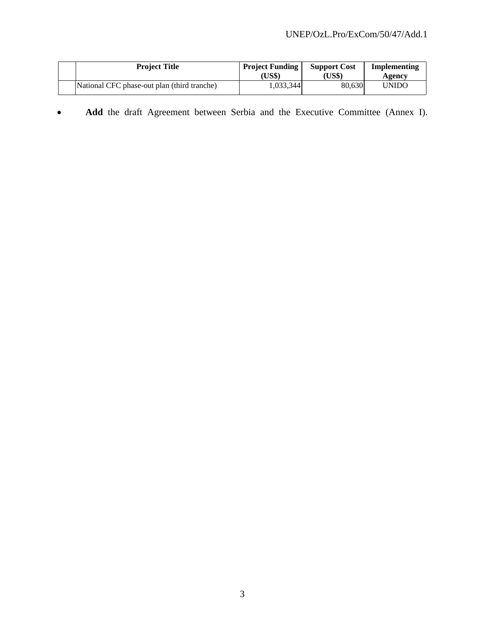|  | <b>Project Title</b>                        | <b>Project Funding</b><br>(US\$) | <b>Support Cost</b><br>US\$) | Implementing<br>Agency |
|--|---------------------------------------------|----------------------------------|------------------------------|------------------------|
|  | National CFC phase-out plan (third tranche) | 1,033,344                        | 80.630                       | <b>UNIDO</b>           |

• **Add** the draft Agreement between Serbia and the Executive Committee (Annex I).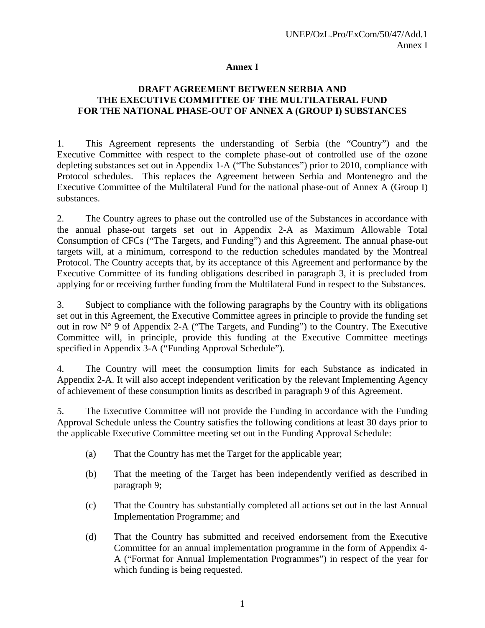#### **Annex I**

#### **DRAFT AGREEMENT BETWEEN SERBIA AND THE EXECUTIVE COMMITTEE OF THE MULTILATERAL FUND FOR THE NATIONAL PHASE-OUT OF ANNEX A (GROUP I) SUBSTANCES**

1. This Agreement represents the understanding of Serbia (the "Country") and the Executive Committee with respect to the complete phase-out of controlled use of the ozone depleting substances set out in Appendix 1-A ("The Substances") prior to 2010, compliance with Protocol schedules. This replaces the Agreement between Serbia and Montenegro and the Executive Committee of the Multilateral Fund for the national phase-out of Annex A (Group I) substances.

2. The Country agrees to phase out the controlled use of the Substances in accordance with the annual phase-out targets set out in Appendix 2-A as Maximum Allowable Total Consumption of CFCs ("The Targets, and Funding") and this Agreement. The annual phase-out targets will, at a minimum, correspond to the reduction schedules mandated by the Montreal Protocol. The Country accepts that, by its acceptance of this Agreement and performance by the Executive Committee of its funding obligations described in paragraph 3, it is precluded from applying for or receiving further funding from the Multilateral Fund in respect to the Substances.

3. Subject to compliance with the following paragraphs by the Country with its obligations set out in this Agreement, the Executive Committee agrees in principle to provide the funding set out in row N° 9 of Appendix 2-A ("The Targets, and Funding") to the Country. The Executive Committee will, in principle, provide this funding at the Executive Committee meetings specified in Appendix 3-A ("Funding Approval Schedule").

4. The Country will meet the consumption limits for each Substance as indicated in Appendix 2-A. It will also accept independent verification by the relevant Implementing Agency of achievement of these consumption limits as described in paragraph 9 of this Agreement.

5. The Executive Committee will not provide the Funding in accordance with the Funding Approval Schedule unless the Country satisfies the following conditions at least 30 days prior to the applicable Executive Committee meeting set out in the Funding Approval Schedule:

- (a) That the Country has met the Target for the applicable year;
- (b) That the meeting of the Target has been independently verified as described in paragraph 9;
- (c) That the Country has substantially completed all actions set out in the last Annual Implementation Programme; and
- (d) That the Country has submitted and received endorsement from the Executive Committee for an annual implementation programme in the form of Appendix 4- A ("Format for Annual Implementation Programmes") in respect of the year for which funding is being requested.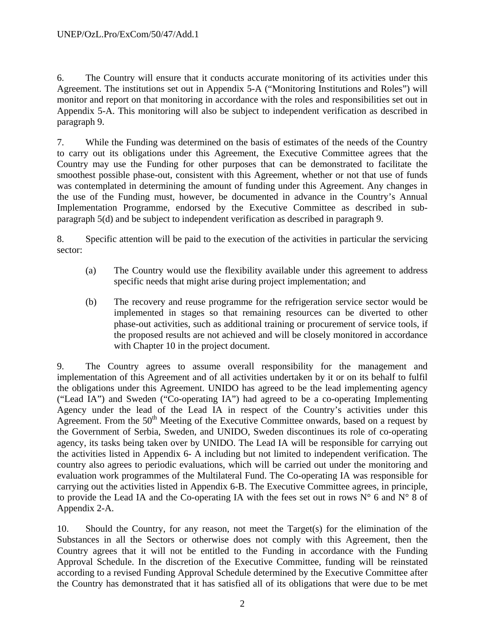6. The Country will ensure that it conducts accurate monitoring of its activities under this Agreement. The institutions set out in Appendix 5-A ("Monitoring Institutions and Roles") will monitor and report on that monitoring in accordance with the roles and responsibilities set out in Appendix 5-A. This monitoring will also be subject to independent verification as described in paragraph 9.

7. While the Funding was determined on the basis of estimates of the needs of the Country to carry out its obligations under this Agreement, the Executive Committee agrees that the Country may use the Funding for other purposes that can be demonstrated to facilitate the smoothest possible phase-out, consistent with this Agreement, whether or not that use of funds was contemplated in determining the amount of funding under this Agreement. Any changes in the use of the Funding must, however, be documented in advance in the Country's Annual Implementation Programme, endorsed by the Executive Committee as described in subparagraph 5(d) and be subject to independent verification as described in paragraph 9.

8. Specific attention will be paid to the execution of the activities in particular the servicing sector:

- (a) The Country would use the flexibility available under this agreement to address specific needs that might arise during project implementation; and
- (b) The recovery and reuse programme for the refrigeration service sector would be implemented in stages so that remaining resources can be diverted to other phase-out activities, such as additional training or procurement of service tools, if the proposed results are not achieved and will be closely monitored in accordance with Chapter 10 in the project document.

9. The Country agrees to assume overall responsibility for the management and implementation of this Agreement and of all activities undertaken by it or on its behalf to fulfil the obligations under this Agreement. UNIDO has agreed to be the lead implementing agency ("Lead IA") and Sweden ("Co-operating IA") had agreed to be a co-operating Implementing Agency under the lead of the Lead IA in respect of the Country's activities under this Agreement. From the  $50<sup>th</sup>$  Meeting of the Executive Committee onwards, based on a request by the Government of Serbia, Sweden, and UNIDO, Sweden discontinues its role of co-operating agency, its tasks being taken over by UNIDO. The Lead IA will be responsible for carrying out the activities listed in Appendix 6- A including but not limited to independent verification. The country also agrees to periodic evaluations, which will be carried out under the monitoring and evaluation work programmes of the Multilateral Fund. The Co-operating IA was responsible for carrying out the activities listed in Appendix 6-B. The Executive Committee agrees, in principle, to provide the Lead IA and the Co-operating IA with the fees set out in rows  $N^{\circ}$  6 and  $N^{\circ}$  8 of Appendix 2-A.

10. Should the Country, for any reason, not meet the Target(s) for the elimination of the Substances in all the Sectors or otherwise does not comply with this Agreement, then the Country agrees that it will not be entitled to the Funding in accordance with the Funding Approval Schedule. In the discretion of the Executive Committee, funding will be reinstated according to a revised Funding Approval Schedule determined by the Executive Committee after the Country has demonstrated that it has satisfied all of its obligations that were due to be met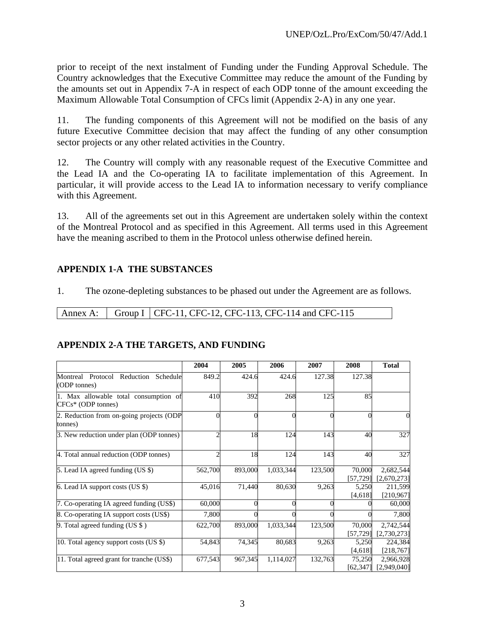prior to receipt of the next instalment of Funding under the Funding Approval Schedule. The Country acknowledges that the Executive Committee may reduce the amount of the Funding by the amounts set out in Appendix 7-A in respect of each ODP tonne of the amount exceeding the Maximum Allowable Total Consumption of CFCs limit (Appendix 2-A) in any one year.

11. The funding components of this Agreement will not be modified on the basis of any future Executive Committee decision that may affect the funding of any other consumption sector projects or any other related activities in the Country.

12. The Country will comply with any reasonable request of the Executive Committee and the Lead IA and the Co-operating IA to facilitate implementation of this Agreement. In particular, it will provide access to the Lead IA to information necessary to verify compliance with this Agreement.

13. All of the agreements set out in this Agreement are undertaken solely within the context of the Montreal Protocol and as specified in this Agreement. All terms used in this Agreement have the meaning ascribed to them in the Protocol unless otherwise defined herein.

#### **APPENDIX 1-A THE SUBSTANCES**

1. The ozone-depleting substances to be phased out under the Agreement are as follows.

Annex A: Group I | CFC-11, CFC-12, CFC-113, CFC-114 and CFC-115

#### **APPENDIX 2-A THE TARGETS, AND FUNDING**

|                                                               | 2004           | 2005     | 2006      | 2007    | 2008                | <b>Total</b>             |
|---------------------------------------------------------------|----------------|----------|-----------|---------|---------------------|--------------------------|
| Montreal Protocol Reduction<br>Schedule<br>(ODP tonnes)       | 849.2          | 424.6    | 424.6     | 127.38  | 127.38              |                          |
| 1. Max allowable total consumption of<br>$CFCs* (ODP tonnes)$ | 410            | 392      | 268       | 125     | 85                  |                          |
| 2. Reduction from on-going projects (ODP<br>tonnes)           | $\Omega$       | $\Omega$ | $\Omega$  |         | $\Omega$            | 0                        |
| 3. New reduction under plan (ODP tonnes)                      | $\overline{c}$ | 18       | 124       | 143     | 40                  | 327                      |
| 4. Total annual reduction (ODP tonnes)                        | $\overline{2}$ | 18       | 124       | 143     | 40                  | 327                      |
| 5. Lead IA agreed funding $(US \$ )                           | 562,700        | 893,000  | 1,033,344 | 123,500 | 70,000<br>[57, 729] | 2,682,544<br>[2,670,273] |
| 6. Lead IA support costs (US \$)                              | 45,016         | 71,440   | 80,630    | 9,263   | 5,250<br>[4,618]    | 211,599<br>[210, 967]    |
| 7. Co-operating IA agreed funding (US\$)                      | 60,000         | 0        |           |         |                     | 60,000                   |
| 8. Co-operating IA support costs (US\$)                       | 7,800          |          |           |         |                     | 7,800                    |
| 9. Total agreed funding (US $\$ )                             | 622,700        | 893,000  | 1,033,344 | 123,500 | 70,000<br>[57, 729] | 2,742,544<br>[2,730,273] |
| 10. Total agency support costs (US \$)                        | 54,843         | 74,345   | 80,683    | 9,263   | 5,250<br>[4,618]    | 224,384<br>[218, 767]    |
| 11. Total agreed grant for tranche (US\$)                     | 677,543        | 967,345  | 1,114,027 | 132,763 | 75,250<br>[62,347]  | 2,966,928<br>[2,949,040] |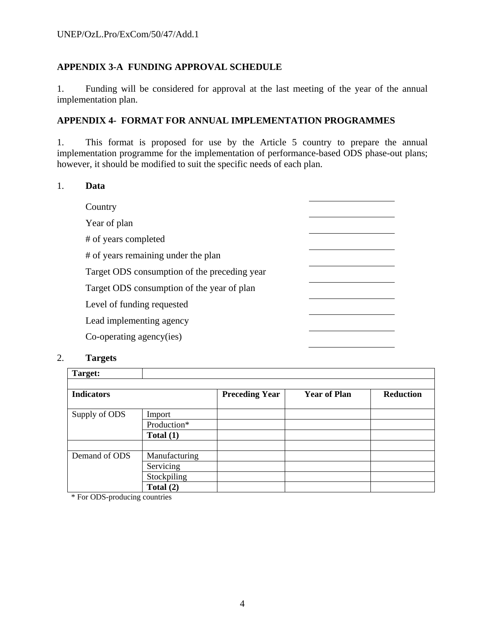## **APPENDIX 3-A FUNDING APPROVAL SCHEDULE**

1. Funding will be considered for approval at the last meeting of the year of the annual implementation plan.

#### **APPENDIX 4- FORMAT FOR ANNUAL IMPLEMENTATION PROGRAMMES**

1. This format is proposed for use by the Article 5 country to prepare the annual implementation programme for the implementation of performance-based ODS phase-out plans; however, it should be modified to suit the specific needs of each plan.

#### 1. **Data**

| Country                                      |  |
|----------------------------------------------|--|
| Year of plan                                 |  |
| # of years completed                         |  |
| # of years remaining under the plan          |  |
| Target ODS consumption of the preceding year |  |
| Target ODS consumption of the year of plan   |  |
| Level of funding requested                   |  |
| Lead implementing agency                     |  |
| Co-operating agency(ies)                     |  |
|                                              |  |

#### 2. **Targets**

| Target:           |               |                       |                     |                  |
|-------------------|---------------|-----------------------|---------------------|------------------|
| <b>Indicators</b> |               | <b>Preceding Year</b> | <b>Year of Plan</b> | <b>Reduction</b> |
| Supply of ODS     | Import        |                       |                     |                  |
|                   | Production*   |                       |                     |                  |
|                   | Total $(1)$   |                       |                     |                  |
|                   |               |                       |                     |                  |
| Demand of ODS     | Manufacturing |                       |                     |                  |
|                   | Servicing     |                       |                     |                  |
|                   | Stockpiling   |                       |                     |                  |
|                   | Total $(2)$   |                       |                     |                  |

\* For ODS-producing countries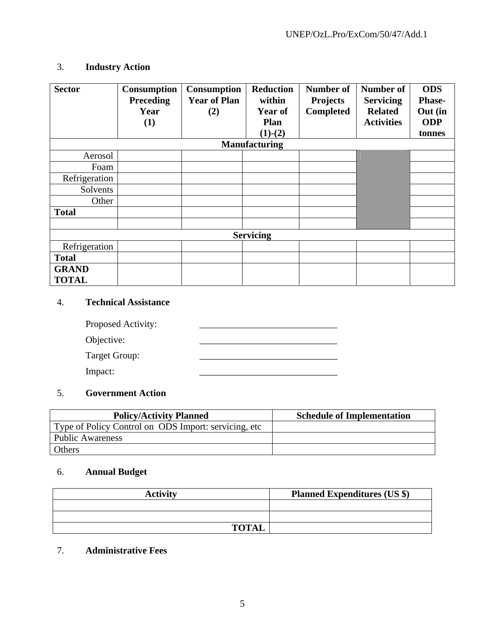# 3. **Industry Action**

| <b>Sector</b> | Consumption<br><b>Preceding</b><br>Year<br>(1) | <b>Consumption</b><br><b>Year of Plan</b><br>(2) | <b>Reduction</b><br>within<br><b>Year of</b><br><b>Plan</b> | <b>Number of</b><br><b>Projects</b><br><b>Completed</b> | Number of<br><b>Servicing</b><br><b>Related</b><br><b>Activities</b> | <b>ODS</b><br>Phase-<br>Out (in<br><b>ODP</b> |
|---------------|------------------------------------------------|--------------------------------------------------|-------------------------------------------------------------|---------------------------------------------------------|----------------------------------------------------------------------|-----------------------------------------------|
|               |                                                |                                                  | $(1)-(2)$<br><b>Manufacturing</b>                           |                                                         |                                                                      | tonnes                                        |
| Aerosol       |                                                |                                                  |                                                             |                                                         |                                                                      |                                               |
| Foam          |                                                |                                                  |                                                             |                                                         |                                                                      |                                               |
| Refrigeration |                                                |                                                  |                                                             |                                                         |                                                                      |                                               |
| Solvents      |                                                |                                                  |                                                             |                                                         |                                                                      |                                               |
| Other         |                                                |                                                  |                                                             |                                                         |                                                                      |                                               |
| <b>Total</b>  |                                                |                                                  |                                                             |                                                         |                                                                      |                                               |
|               |                                                |                                                  |                                                             |                                                         |                                                                      |                                               |
|               |                                                |                                                  | <b>Servicing</b>                                            |                                                         |                                                                      |                                               |
| Refrigeration |                                                |                                                  |                                                             |                                                         |                                                                      |                                               |
| <b>Total</b>  |                                                |                                                  |                                                             |                                                         |                                                                      |                                               |
| <b>GRAND</b>  |                                                |                                                  |                                                             |                                                         |                                                                      |                                               |
| <b>TOTAL</b>  |                                                |                                                  |                                                             |                                                         |                                                                      |                                               |

# 4. **Technical Assistance**

| Proposed Activity: |  |
|--------------------|--|
| Objective:         |  |
| Target Group:      |  |
| Impact:            |  |

# 5. **Government Action**

| <b>Policy/Activity Planned</b>                        | <b>Schedule of Implementation</b> |
|-------------------------------------------------------|-----------------------------------|
| Type of Policy Control on ODS Import: servicing, etc. |                                   |
| <b>Public Awareness</b>                               |                                   |
| Others                                                |                                   |

# 6. **Annual Budget**

| <b>Activity</b> | <b>Planned Expenditures (US \$)</b> |
|-----------------|-------------------------------------|
|                 |                                     |
|                 |                                     |
| <b>TOTAL</b>    |                                     |

# 7. **Administrative Fees**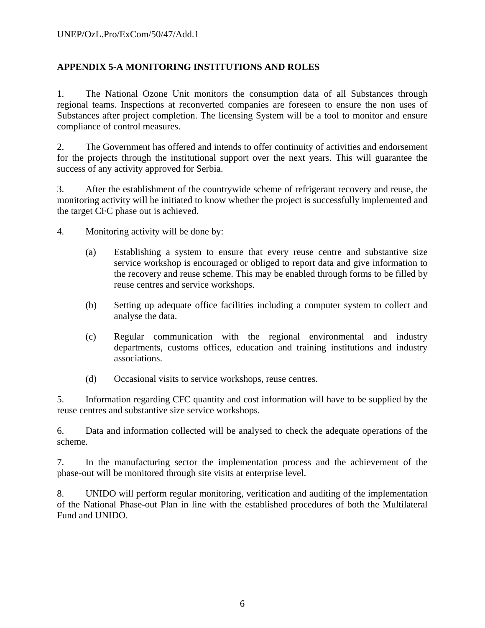# **APPENDIX 5-A MONITORING INSTITUTIONS AND ROLES**

1. The National Ozone Unit monitors the consumption data of all Substances through regional teams. Inspections at reconverted companies are foreseen to ensure the non uses of Substances after project completion. The licensing System will be a tool to monitor and ensure compliance of control measures.

2. The Government has offered and intends to offer continuity of activities and endorsement for the projects through the institutional support over the next years. This will guarantee the success of any activity approved for Serbia.

3. After the establishment of the countrywide scheme of refrigerant recovery and reuse, the monitoring activity will be initiated to know whether the project is successfully implemented and the target CFC phase out is achieved.

4. Monitoring activity will be done by:

- (a) Establishing a system to ensure that every reuse centre and substantive size service workshop is encouraged or obliged to report data and give information to the recovery and reuse scheme. This may be enabled through forms to be filled by reuse centres and service workshops.
- (b) Setting up adequate office facilities including a computer system to collect and analyse the data.
- (c) Regular communication with the regional environmental and industry departments, customs offices, education and training institutions and industry associations.
- (d) Occasional visits to service workshops, reuse centres.

5. Information regarding CFC quantity and cost information will have to be supplied by the reuse centres and substantive size service workshops.

6. Data and information collected will be analysed to check the adequate operations of the scheme.

7. In the manufacturing sector the implementation process and the achievement of the phase-out will be monitored through site visits at enterprise level.

8. UNIDO will perform regular monitoring, verification and auditing of the implementation of the National Phase-out Plan in line with the established procedures of both the Multilateral Fund and UNIDO.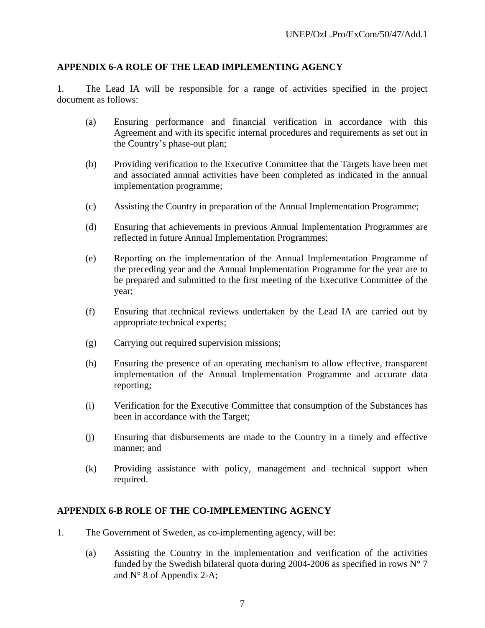#### **APPENDIX 6-A ROLE OF THE LEAD IMPLEMENTING AGENCY**

1. The Lead IA will be responsible for a range of activities specified in the project document as follows:

- (a) Ensuring performance and financial verification in accordance with this Agreement and with its specific internal procedures and requirements as set out in the Country's phase-out plan;
- (b) Providing verification to the Executive Committee that the Targets have been met and associated annual activities have been completed as indicated in the annual implementation programme;
- (c) Assisting the Country in preparation of the Annual Implementation Programme;
- (d) Ensuring that achievements in previous Annual Implementation Programmes are reflected in future Annual Implementation Programmes;
- (e) Reporting on the implementation of the Annual Implementation Programme of the preceding year and the Annual Implementation Programme for the year are to be prepared and submitted to the first meeting of the Executive Committee of the year;
- (f) Ensuring that technical reviews undertaken by the Lead IA are carried out by appropriate technical experts;
- (g) Carrying out required supervision missions;
- (h) Ensuring the presence of an operating mechanism to allow effective, transparent implementation of the Annual Implementation Programme and accurate data reporting;
- (i) Verification for the Executive Committee that consumption of the Substances has been in accordance with the Target;
- (j) Ensuring that disbursements are made to the Country in a timely and effective manner; and
- (k) Providing assistance with policy, management and technical support when required.

#### **APPENDIX 6-B ROLE OF THE CO-IMPLEMENTING AGENCY**

- 1. The Government of Sweden, as co-implementing agency, will be:
	- (a) Assisting the Country in the implementation and verification of the activities funded by the Swedish bilateral quota during 2004-2006 as specified in rows  $N^{\circ}$  7 and N° 8 of Appendix 2-A;